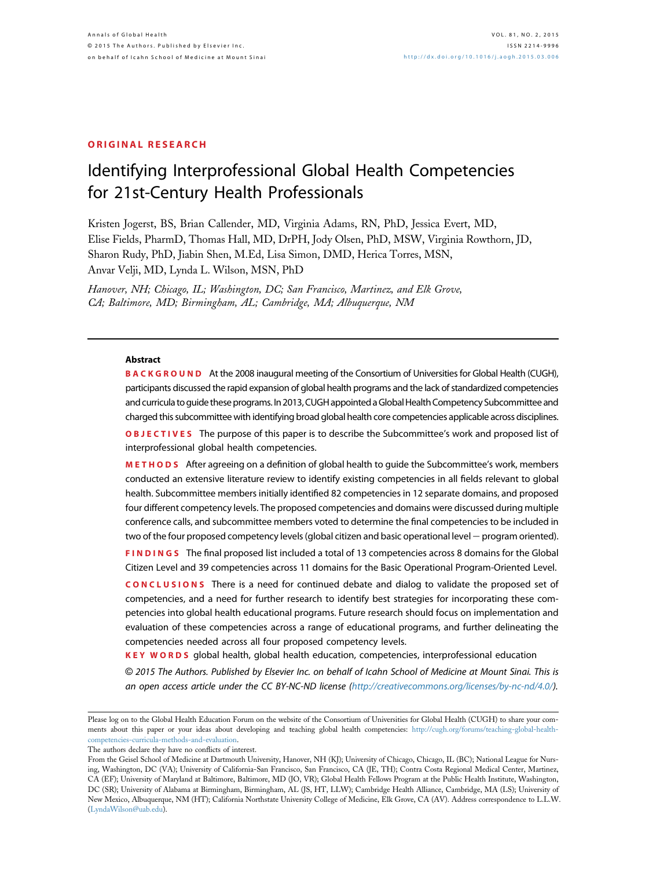# ORIGINAL RESEARCH

# Identifying Interprofessional Global Health Competencies for 21st-Century Health Professionals

Kristen Jogerst, BS, Brian Callender, MD, Virginia Adams, RN, PhD, Jessica Evert, MD, Elise Fields, PharmD, Thomas Hall, MD, DrPH, Jody Olsen, PhD, MSW, Virginia Rowthorn, JD, Sharon Rudy, PhD, Jiabin Shen, M.Ed, Lisa Simon, DMD, Herica Torres, MSN, Anvar Velji, MD, Lynda L. Wilson, MSN, PhD

Hanover, NH; Chicago, IL; Washington, DC; San Francisco, Martinez, and Elk Grove, CA; Baltimore, MD; Birmingham, AL; Cambridge, MA; Albuquerque, NM

## Abstract

B A C K G R O U N D At the 2008 inaugural meeting of the Consortium of Universities for Global Health (CUGH), participants discussed the rapid expansion of global health programs and the lack of standardized competencies and curricula to guide these programs. In 2013, CUGH appointed aGlobal Health Competency Subcommittee and charged this subcommittee with identifying broad global health core competencies applicable across disciplines. **OBJECTIVES** The purpose of this paper is to describe the Subcommittee's work and proposed list of interprofessional global health competencies.

METHODS After agreeing on a definition of global health to quide the Subcommittee's work, members conducted an extensive literature review to identify existing competencies in all fields relevant to global health. Subcommittee members initially identified 82 competencies in 12 separate domains, and proposed four different competency levels. The proposed competencies and domains were discussed during multiple conference calls, and subcommittee members voted to determine the final competencies to be included in two of the four proposed competency levels (global citizen and basic operational level - program oriented).

FINDINGS The final proposed list included a total of 13 competencies across 8 domains for the Global Citizen Level and 39 competencies across 11 domains for the Basic Operational Program-Oriented Level.

CONCLUSIONS There is a need for continued debate and dialog to validate the proposed set of competencies, and a need for further research to identify best strategies for incorporating these competencies into global health educational programs. Future research should focus on implementation and evaluation of these competencies across a range of educational programs, and further delineating the competencies needed across all four proposed competency levels.

KEY WORDS global health, global health education, competencies, interprofessional education

© 2015 The Authors. Published by Elsevier Inc. on behalf of Icahn School of Medicine at Mount Sinai. This is an open access article under the CC BY-NC-ND license [\(http://creativecommons.org/licenses/by-nc-nd/4.0/\)](http://creativecommons.org/licenses/by-nc-nd/4.�0/).

The authors declare they have no conflicts of interest.

Please log on to the Global Health Education Forum on the website of the Consortium of Universities for Global Health (CUGH) to share your comments about this paper or your ideas about developing and teaching global health competencies: [http://cugh.org/forums/teaching-global-health](http://cugh.org/forums/teaching-global-health-competencies-curricula-methods-and-evaluation)[competencies-curricula-methods-and-evaluation.](http://cugh.org/forums/teaching-global-health-competencies-curricula-methods-and-evaluation)

From the Geisel School of Medicine at Dartmouth University, Hanover, NH (KJ); University of Chicago, Chicago, IL (BC); National League for Nursing, Washington, DC (VA); University of California-San Francisco, San Francisco, CA (JE, TH); Contra Costa Regional Medical Center, Martinez, CA (EF); University of Maryland at Baltimore, Baltimore, MD (JO, VR); Global Health Fellows Program at the Public Health Institute, Washington, DC (SR); University of Alabama at Birmingham, Birmingham, AL (JS, HT, LLW); Cambridge Health Alliance, Cambridge, MA (LS); University of New Mexico, Albuquerque, NM (HT); California Northstate University College of Medicine, Elk Grove, CA (AV). Address correspondence to L.L.W. [\(LyndaWilson@uab.edu\)](mailto:LyndaWilson@uab.edu).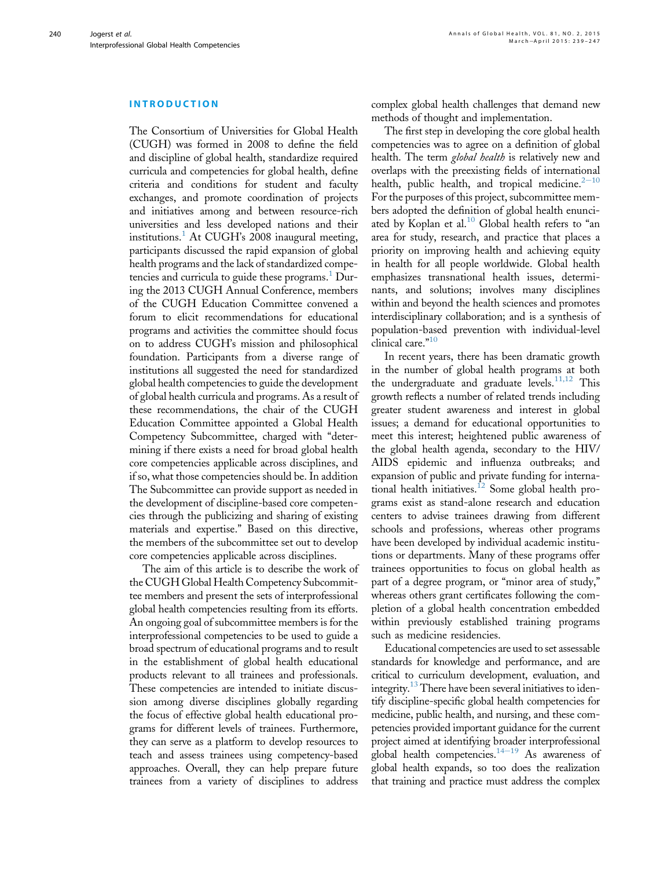240

## INTRODUCTION

The Consortium of Universities for Global Health (CUGH) was formed in 2008 to define the field and discipline of global health, standardize required curricula and competencies for global health, define criteria and conditions for student and faculty exchanges, and promote coordination of projects and initiatives among and between resource-rich universities and less developed nations and their institutions.[1](#page-8-0) At CUGH's 2008 inaugural meeting, participants discussed the rapid expansion of global health programs and the lack of standardized compe-tencies and curricula to guide these programs.<sup>[1](#page-8-0)</sup> During the 2013 CUGH Annual Conference, members of the CUGH Education Committee convened a forum to elicit recommendations for educational programs and activities the committee should focus on to address CUGH's mission and philosophical foundation. Participants from a diverse range of institutions all suggested the need for standardized global health competencies to guide the development of global health curricula and programs. As a result of these recommendations, the chair of the CUGH Education Committee appointed a Global Health Competency Subcommittee, charged with "determining if there exists a need for broad global health core competencies applicable across disciplines, and if so, what those competencies should be. In addition The Subcommittee can provide support as needed in the development of discipline-based core competencies through the publicizing and sharing of existing materials and expertise." Based on this directive, the members of the subcommittee set out to develop core competencies applicable across disciplines.

The aim of this article is to describe the work of the CUGH Global Health Competency Subcommittee members and present the sets of interprofessional global health competencies resulting from its efforts. An ongoing goal of subcommittee members is for the interprofessional competencies to be used to guide a broad spectrum of educational programs and to result in the establishment of global health educational products relevant to all trainees and professionals. These competencies are intended to initiate discussion among diverse disciplines globally regarding the focus of effective global health educational programs for different levels of trainees. Furthermore, they can serve as a platform to develop resources to teach and assess trainees using competency-based approaches. Overall, they can help prepare future trainees from a variety of disciplines to address

complex global health challenges that demand new methods of thought and implementation.

The first step in developing the core global health competencies was to agree on a definition of global health. The term *global health* is relatively new and overlaps with the preexisting fields of international health, public health, and tropical medicine. $2-10$  $2-10$  $2-10$ For the purposes of this project, subcommittee members adopted the definition of global health enunciated by Koplan et al. $10$  Global health refers to "an area for study, research, and practice that places a priority on improving health and achieving equity in health for all people worldwide. Global health emphasizes transnational health issues, determinants, and solutions; involves many disciplines within and beyond the health sciences and promotes interdisciplinary collaboration; and is a synthesis of population-based prevention with individual-level clinical care."<sup>[10](#page-8-0)</sup>

In recent years, there has been dramatic growth in the number of global health programs at both the undergraduate and graduate levels. $11,12$  This growth reflects a number of related trends including greater student awareness and interest in global issues; a demand for educational opportunities to meet this interest; heightened public awareness of the global health agenda, secondary to the HIV/ AIDS epidemic and influenza outbreaks; and expansion of public and private funding for international health initiatives.<sup>12</sup> Some global health programs exist as stand-alone research and education centers to advise trainees drawing from different schools and professions, whereas other programs have been developed by individual academic institutions or departments. Many of these programs offer trainees opportunities to focus on global health as part of a degree program, or "minor area of study," whereas others grant certificates following the completion of a global health concentration embedded within previously established training programs such as medicine residencies.

Educational competencies are used to set assessable standards for knowledge and performance, and are critical to curriculum development, evaluation, and integrity.<sup>[13](#page-8-0)</sup> There have been several initiatives to identify discipline-specific global health competencies for medicine, public health, and nursing, and these competencies provided important guidance for the current project aimed at identifying broader interprofessional global health competencies. $14-19$  $14-19$  As awareness of global health expands, so too does the realization that training and practice must address the complex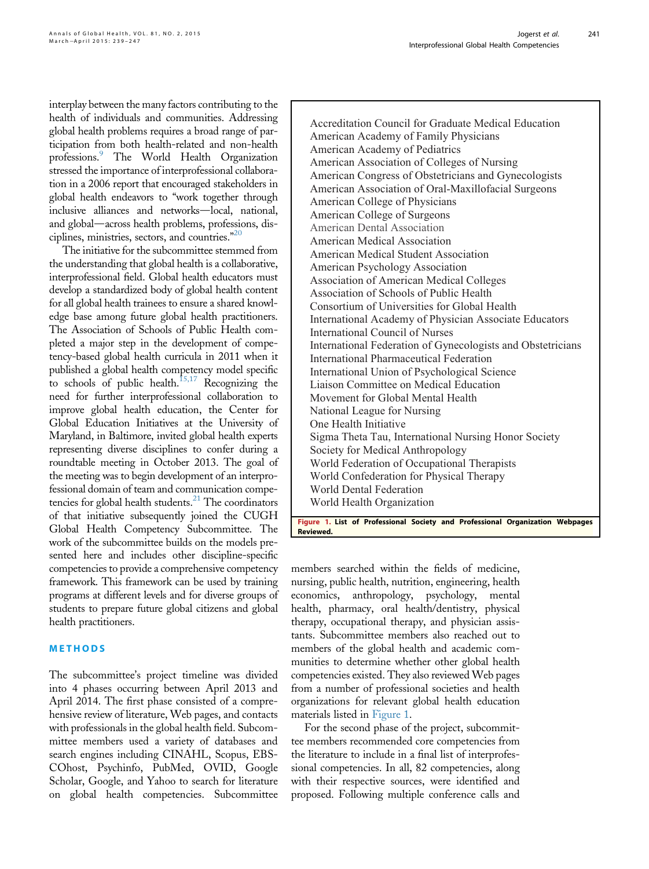interplay between the many factors contributing to the health of individuals and communities. Addressing global health problems requires a broad range of participation from both health-related and non-health professions.[9](#page-8-0) The World Health Organization stressed the importance of interprofessional collaboration in a 2006 report that encouraged stakeholders in global health endeavors to "work together through inclusive alliances and networks-local, national, and global—across health problems, professions, disciplines, ministries, sectors, and countries." [20](#page-8-0)

The initiative for the subcommittee stemmed from the understanding that global health is a collaborative, interprofessional field. Global health educators must develop a standardized body of global health content for all global health trainees to ensure a shared knowledge base among future global health practitioners. The Association of Schools of Public Health completed a major step in the development of competency-based global health curricula in 2011 when it published a global health competency model specific to schools of public health.<sup>[15,17](#page-8-0)</sup> Recognizing the need for further interprofessional collaboration to improve global health education, the Center for Global Education Initiatives at the University of Maryland, in Baltimore, invited global health experts representing diverse disciplines to confer during a roundtable meeting in October 2013. The goal of the meeting was to begin development of an interprofessional domain of team and communication competencies for global health students. $^{21}$  $^{21}$  $^{21}$  The coordinators of that initiative subsequently joined the CUGH Global Health Competency Subcommittee. The work of the subcommittee builds on the models presented here and includes other discipline-specific competencies to provide a comprehensive competency framework. This framework can be used by training programs at different levels and for diverse groups of students to prepare future global citizens and global health practitioners.

# METHODS

The subcommittee's project timeline was divided into 4 phases occurring between April 2013 and April 2014. The first phase consisted of a comprehensive review of literature, Web pages, and contacts with professionals in the global health field. Subcommittee members used a variety of databases and search engines including CINAHL, Scopus, EBS-COhost, Psychinfo, PubMed, OVID, Google Scholar, Google, and Yahoo to search for literature on global health competencies. Subcommittee

Accreditation Council for Graduate Medical Education American Academy of Family Physicians American Academy of Pediatrics American Association of Colleges of Nursing American Congress of Obstetricians and Gynecologists American Association of Oral-Maxillofacial Surgeons American College of Physicians American College of Surgeons American Dental Association American Medical Association American Medical Student Association American Psychology Association Association of American Medical Colleges Association of Schools of Public Health Consortium of Universities for Global Health International Academy of Physician Associate Educators International Council of Nurses International Federation of Gynecologists and Obstetricians International Pharmaceutical Federation International Union of Psychological Science Liaison Committee on Medical Education Movement for Global Mental Health National League for Nursing One Health Initiative Sigma Theta Tau, International Nursing Honor Society Society for Medical Anthropology World Federation of Occupational Therapists World Confederation for Physical Therapy World Dental Federation World Health Organization Figure 1. List of Professional Society and Professional Organization Webpages

members searched within the fields of medicine, nursing, public health, nutrition, engineering, health economics, anthropology, psychology, mental health, pharmacy, oral health/dentistry, physical therapy, occupational therapy, and physician assistants. Subcommittee members also reached out to members of the global health and academic communities to determine whether other global health competencies existed. They also reviewed Web pages from a number of professional societies and health organizations for relevant global health education materials listed in Figure 1.

Reviewed.

For the second phase of the project, subcommittee members recommended core competencies from the literature to include in a final list of interprofessional competencies. In all, 82 competencies, along with their respective sources, were identified and proposed. Following multiple conference calls and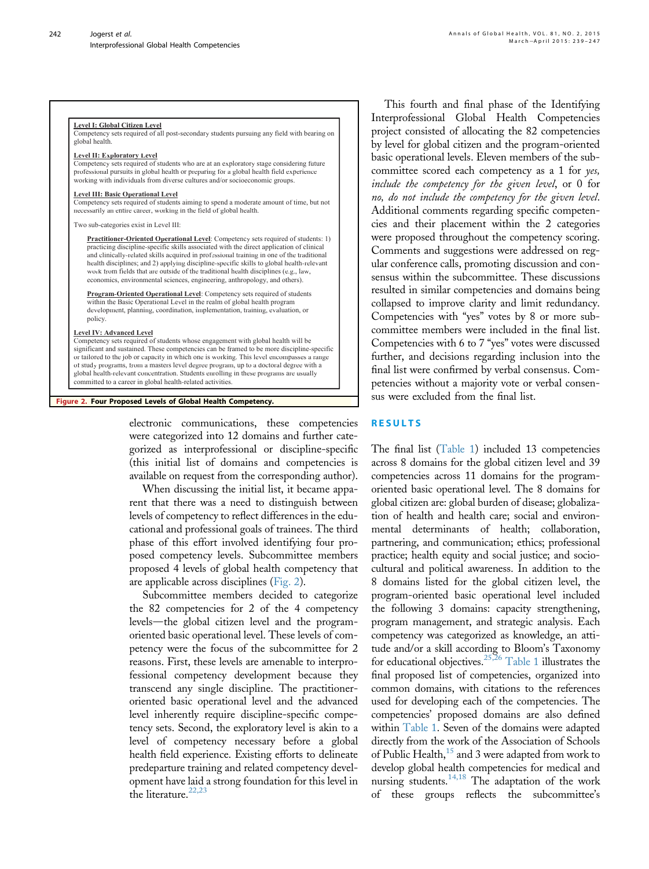#### **Level I: Global Citizen Level**

Competency sets required of all post-secondary students pursuing any field with bearing on global health.

#### **Level II: Exploratory Level**

Competency sets required of students who are at an exploratory stage considering future professional pursuits in global health or preparing for a global health field experience working with individuals from diverse cultures and/or socioeconomic groups.

#### **Level III: Basic Operational Level**

Competency sets required of students aiming to spend a moderate amount of time, but not necessarily an entire career, working in the field of global health.

Two sub-categories exist in Level III:

**Practitioner-Oriented Operational Level**: Competency sets required of students: 1) practicing discipline-specific skills associated with the direct application of clinical and clinically-related skills acquired in professional training in one of the traditional health disciplines; and 2) applying discipline-specific skills to global health-relevant work from fields that are outside of the traditional health disciplines (e.g., law, economics, environmental sciences, engineering, anthropology, and others).

**Program-Oriented Operational Level**: Competency sets required of students within the Basic Operational Level in the realm of global health program development, planning, coordination, implementation, training, evaluation, or policy.

## **Level IV: Advanced Level**

Competency sets required of students whose engagement with global health will be significant and sustained. These competencies can be framed to be more discipline-specific or tailored to the job or capacity in which one is working. This level encompasses a range of study programs, from a masters level degree program, up to a doctoral degree with a global health-relevant concentration. Students enrolling in these programs are usually committed to a career in global health-related activities.

#### Figure 2. Four Proposed Levels of Global Health Competency.

electronic communications, these competencies were categorized into 12 domains and further categorized as interprofessional or discipline-specific (this initial list of domains and competencies is available on request from the corresponding author).

When discussing the initial list, it became apparent that there was a need to distinguish between levels of competency to reflect differences in the educational and professional goals of trainees. The third phase of this effort involved identifying four proposed competency levels. Subcommittee members proposed 4 levels of global health competency that are applicable across disciplines (Fig. 2).

Subcommittee members decided to categorize the 82 competencies for 2 of the 4 competency levels—the global citizen level and the programoriented basic operational level. These levels of competency were the focus of the subcommittee for 2 reasons. First, these levels are amenable to interprofessional competency development because they transcend any single discipline. The practitioneroriented basic operational level and the advanced level inherently require discipline-specific competency sets. Second, the exploratory level is akin to a level of competency necessary before a global health field experience. Existing efforts to delineate predeparture training and related competency development have laid a strong foundation for this level in the literature.<sup>[22,23](#page-8-0)</sup>

This fourth and final phase of the Identifying Interprofessional Global Health Competencies project consisted of allocating the 82 competencies by level for global citizen and the program-oriented basic operational levels. Eleven members of the subcommittee scored each competency as a 1 for yes, include the competency for the given level, or 0 for no, do not include the competency for the given level. Additional comments regarding specific competencies and their placement within the 2 categories were proposed throughout the competency scoring. Comments and suggestions were addressed on regular conference calls, promoting discussion and consensus within the subcommittee. These discussions resulted in similar competencies and domains being collapsed to improve clarity and limit redundancy. Competencies with "yes" votes by 8 or more subcommittee members were included in the final list. Competencies with 6 to 7 "yes" votes were discussed further, and decisions regarding inclusion into the final list were confirmed by verbal consensus. Competencies without a majority vote or verbal consensus were excluded from the final list.

## RESULTS

The final list [\(Table 1](#page-4-0)) included 13 competencies across 8 domains for the global citizen level and 39 competencies across 11 domains for the programoriented basic operational level. The 8 domains for global citizen are: global burden of disease; globalization of health and health care; social and environmental determinants of health; collaboration, partnering, and communication; ethics; professional practice; health equity and social justice; and sociocultural and political awareness. In addition to the 8 domains listed for the global citizen level, the program-oriented basic operational level included the following 3 domains: capacity strengthening, program management, and strategic analysis. Each competency was categorized as knowledge, an attitude and/or a skill according to Bloom's Taxonomy for educational objectives. $25,26$  [Table 1](#page-4-0) illustrates the final proposed list of competencies, organized into common domains, with citations to the references used for developing each of the competencies. The competencies' proposed domains are also defined within [Table 1.](#page-4-0) Seven of the domains were adapted directly from the work of the Association of Schools of Public Health, $^{15}$  and 3 were adapted from work to develop global health competencies for medical and nursing students.[14,18](#page-8-0) The adaptation of the work of these groups reflects the subcommittee's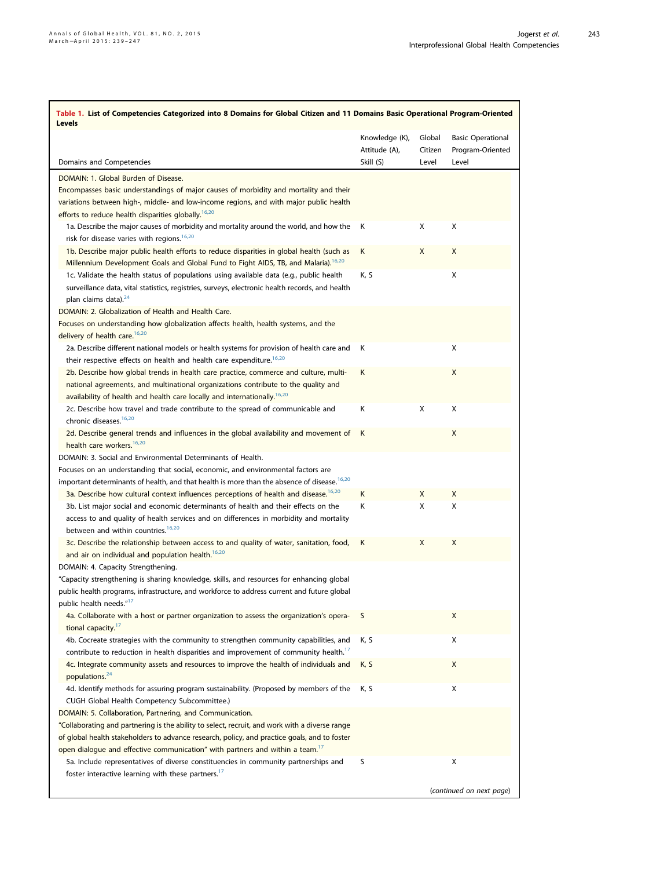٦

<span id="page-4-0"></span>

| Table 1. List of Competencies Categorized into 8 Domains for Global Citizen and 11 Domains Basic Operational Program-Oriented<br>Levels                                                |                                 |                   |                                              |  |  |
|----------------------------------------------------------------------------------------------------------------------------------------------------------------------------------------|---------------------------------|-------------------|----------------------------------------------|--|--|
|                                                                                                                                                                                        | Knowledge (K),<br>Attitude (A), | Global<br>Citizen | <b>Basic Operational</b><br>Program-Oriented |  |  |
| Domains and Competencies                                                                                                                                                               | Skill (S)                       | Level             | Level                                        |  |  |
| DOMAIN: 1. Global Burden of Disease.                                                                                                                                                   |                                 |                   |                                              |  |  |
| Encompasses basic understandings of major causes of morbidity and mortality and their                                                                                                  |                                 |                   |                                              |  |  |
| variations between high-, middle- and low-income regions, and with major public health<br>efforts to reduce health disparities globally. <sup>16,20</sup>                              |                                 |                   |                                              |  |  |
| 1a. Describe the major causes of morbidity and mortality around the world, and how the                                                                                                 | К                               | X                 | X                                            |  |  |
| risk for disease varies with regions. <sup>16,20</sup>                                                                                                                                 |                                 |                   |                                              |  |  |
| 1b. Describe major public health efforts to reduce disparities in global health (such as                                                                                               | K                               | X                 | X                                            |  |  |
| Millennium Development Goals and Global Fund to Fight AIDS, TB, and Malaria). <sup>16,20</sup>                                                                                         |                                 |                   |                                              |  |  |
| 1c. Validate the health status of populations using available data (e.g., public health                                                                                                | K, S                            |                   | X                                            |  |  |
| surveillance data, vital statistics, registries, surveys, electronic health records, and health                                                                                        |                                 |                   |                                              |  |  |
| plan claims data). <sup>24</sup>                                                                                                                                                       |                                 |                   |                                              |  |  |
| DOMAIN: 2. Globalization of Health and Health Care.                                                                                                                                    |                                 |                   |                                              |  |  |
| Focuses on understanding how globalization affects health, health systems, and the                                                                                                     |                                 |                   |                                              |  |  |
| delivery of health care. <sup>16,20</sup>                                                                                                                                              |                                 |                   |                                              |  |  |
| 2a. Describe different national models or health systems for provision of health care and<br>their respective effects on health and health care expenditure. <sup>16,20</sup>          | К                               |                   | Χ                                            |  |  |
| 2b. Describe how global trends in health care practice, commerce and culture, multi-                                                                                                   | К                               |                   | Χ                                            |  |  |
| national agreements, and multinational organizations contribute to the quality and                                                                                                     |                                 |                   |                                              |  |  |
| availability of health and health care locally and internationally. <sup>16,20</sup>                                                                                                   |                                 |                   |                                              |  |  |
| 2c. Describe how travel and trade contribute to the spread of communicable and                                                                                                         | κ                               | X                 | X                                            |  |  |
| chronic diseases. <sup>16,20</sup>                                                                                                                                                     |                                 |                   |                                              |  |  |
| 2d. Describe general trends and influences in the global availability and movement of                                                                                                  | К                               |                   | X                                            |  |  |
| health care workers. <sup>16,20</sup>                                                                                                                                                  |                                 |                   |                                              |  |  |
| DOMAIN: 3. Social and Environmental Determinants of Health.                                                                                                                            |                                 |                   |                                              |  |  |
| Focuses on an understanding that social, economic, and environmental factors are                                                                                                       |                                 |                   |                                              |  |  |
| important determinants of health, and that health is more than the absence of disease. <sup>16,20</sup>                                                                                | K                               |                   |                                              |  |  |
| 3a. Describe how cultural context influences perceptions of health and disease. <sup>16,20</sup><br>3b. List major social and economic determinants of health and their effects on the | К                               | X<br>X            | X<br>X                                       |  |  |
| access to and quality of health services and on differences in morbidity and mortality                                                                                                 |                                 |                   |                                              |  |  |
| between and within countries. <sup>16,20</sup>                                                                                                                                         |                                 |                   |                                              |  |  |
| 3c. Describe the relationship between access to and quality of water, sanitation, food,                                                                                                | К                               | X                 | X                                            |  |  |
| and air on individual and population health. <sup>16,20</sup>                                                                                                                          |                                 |                   |                                              |  |  |
| DOMAIN: 4. Capacity Strengthening.                                                                                                                                                     |                                 |                   |                                              |  |  |
| "Capacity strengthening is sharing knowledge, skills, and resources for enhancing global                                                                                               |                                 |                   |                                              |  |  |
| public health programs, infrastructure, and workforce to address current and future global                                                                                             |                                 |                   |                                              |  |  |
| public health needs." <sup>17</sup>                                                                                                                                                    |                                 |                   |                                              |  |  |
| 4a. Collaborate with a host or partner organization to assess the organization's opera-<br>tional capacity. <sup>17</sup>                                                              | S                               |                   | X                                            |  |  |
| 4b. Cocreate strategies with the community to strengthen community capabilities, and                                                                                                   | K, S                            |                   | X                                            |  |  |
| contribute to reduction in health disparities and improvement of community health. <sup>17</sup>                                                                                       |                                 |                   |                                              |  |  |
| 4c. Integrate community assets and resources to improve the health of individuals and                                                                                                  | K, S                            |                   | X                                            |  |  |
| populations. <sup>24</sup>                                                                                                                                                             |                                 |                   |                                              |  |  |
| 4d. Identify methods for assuring program sustainability. (Proposed by members of the                                                                                                  | K, S                            |                   | X                                            |  |  |
| CUGH Global Health Competency Subcommittee.)                                                                                                                                           |                                 |                   |                                              |  |  |
| DOMAIN: 5. Collaboration, Partnering, and Communication.                                                                                                                               |                                 |                   |                                              |  |  |
| "Collaborating and partnering is the ability to select, recruit, and work with a diverse range                                                                                         |                                 |                   |                                              |  |  |
| of global health stakeholders to advance research, policy, and practice goals, and to foster                                                                                           |                                 |                   |                                              |  |  |
| open dialogue and effective communication" with partners and within a team. <sup>17</sup><br>5a. Include representatives of diverse constituencies in community partnerships and       | S                               |                   | Χ                                            |  |  |
| foster interactive learning with these partners. <sup>17</sup>                                                                                                                         |                                 |                   |                                              |  |  |
|                                                                                                                                                                                        |                                 |                   | (continued on next page)                     |  |  |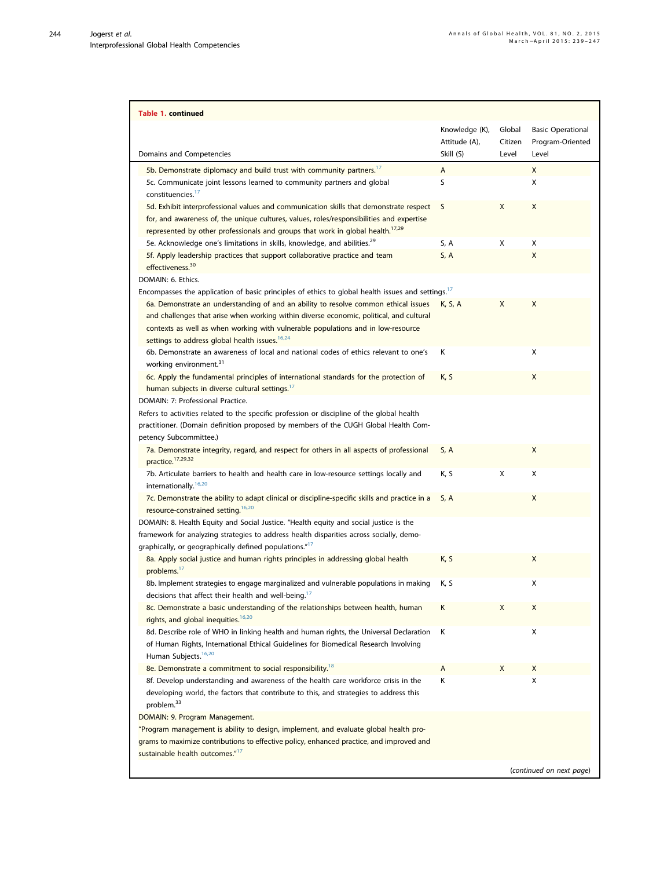| <b>Table 1. continued</b>                                                                                                                                                                                                                                                                                                        |                                 |                   |                                              |
|----------------------------------------------------------------------------------------------------------------------------------------------------------------------------------------------------------------------------------------------------------------------------------------------------------------------------------|---------------------------------|-------------------|----------------------------------------------|
|                                                                                                                                                                                                                                                                                                                                  | Knowledge (K),<br>Attitude (A), | Global<br>Citizen | <b>Basic Operational</b><br>Program-Oriented |
| Domains and Competencies                                                                                                                                                                                                                                                                                                         | Skill (S)                       | Level             | Level                                        |
| 5b. Demonstrate diplomacy and build trust with community partners. <sup>17</sup><br>5c. Communicate joint lessons learned to community partners and global<br>constituencies. <sup>17</sup>                                                                                                                                      | Α<br>S                          |                   | X<br>X                                       |
| 5d. Exhibit interprofessional values and communication skills that demonstrate respect<br>for, and awareness of, the unique cultures, values, roles/responsibilities and expertise<br>represented by other professionals and groups that work in global health. <sup>17,29</sup>                                                 | S                               | X                 | X                                            |
| 5e. Acknowledge one's limitations in skills, knowledge, and abilities. <sup>29</sup>                                                                                                                                                                                                                                             | S, A                            | Χ                 | X                                            |
| 5f. Apply leadership practices that support collaborative practice and team<br>effectiveness. <sup>30</sup>                                                                                                                                                                                                                      | S, A                            |                   | X                                            |
| DOMAIN: 6. Ethics.                                                                                                                                                                                                                                                                                                               |                                 |                   |                                              |
| Encompasses the application of basic principles of ethics to global health issues and settings. <sup>17</sup>                                                                                                                                                                                                                    |                                 |                   |                                              |
| 6a. Demonstrate an understanding of and an ability to resolve common ethical issues<br>and challenges that arise when working within diverse economic, political, and cultural<br>contexts as well as when working with vulnerable populations and in low-resource<br>settings to address global health issues. <sup>16,24</sup> | K, S, A                         | X                 | X                                            |
| 6b. Demonstrate an awareness of local and national codes of ethics relevant to one's<br>working environment. <sup>31</sup>                                                                                                                                                                                                       | Κ                               |                   | X                                            |
| 6c. Apply the fundamental principles of international standards for the protection of                                                                                                                                                                                                                                            | K, S                            |                   | X                                            |
| human subjects in diverse cultural settings. <sup>17</sup>                                                                                                                                                                                                                                                                       |                                 |                   |                                              |
| DOMAIN: 7: Professional Practice.                                                                                                                                                                                                                                                                                                |                                 |                   |                                              |
| Refers to activities related to the specific profession or discipline of the global health                                                                                                                                                                                                                                       |                                 |                   |                                              |
| practitioner. (Domain definition proposed by members of the CUGH Global Health Com-<br>petency Subcommittee.)                                                                                                                                                                                                                    |                                 |                   |                                              |
| 7a. Demonstrate integrity, regard, and respect for others in all aspects of professional<br>practice. <sup>17,29,32</sup>                                                                                                                                                                                                        | S, A                            |                   | X                                            |
| 7b. Articulate barriers to health and health care in low-resource settings locally and<br>internationally. <sup>16,20</sup>                                                                                                                                                                                                      | K, S                            | X                 | X                                            |
| 7c. Demonstrate the ability to adapt clinical or discipline-specific skills and practice in a<br>resource-constrained setting. <sup>16,20</sup>                                                                                                                                                                                  | S, A                            |                   | X                                            |
| DOMAIN: 8. Health Equity and Social Justice. "Health equity and social justice is the                                                                                                                                                                                                                                            |                                 |                   |                                              |
| framework for analyzing strategies to address health disparities across socially, demo-<br>graphically, or geographically defined populations."17                                                                                                                                                                                |                                 |                   |                                              |
| 8a. Apply social justice and human rights principles in addressing global health<br>problems. <sup>17</sup>                                                                                                                                                                                                                      | K, S                            |                   | X                                            |
| 8b. Implement strategies to engage marginalized and vulnerable populations in making<br>decisions that affect their health and well-being. <sup>17</sup>                                                                                                                                                                         | K, S                            |                   | X                                            |
| 8c. Demonstrate a basic understanding of the relationships between health, human<br>rights, and global inequities. <sup>16,20</sup>                                                                                                                                                                                              | Κ                               | X                 | X                                            |
| 8d. Describe role of WHO in linking health and human rights, the Universal Declaration                                                                                                                                                                                                                                           | Κ                               |                   | X                                            |
| of Human Rights, International Ethical Guidelines for Biomedical Research Involving<br>Human Subjects. <sup>16,20</sup>                                                                                                                                                                                                          |                                 |                   |                                              |
| 8e. Demonstrate a commitment to social responsibility. <sup>18</sup>                                                                                                                                                                                                                                                             | A                               | X                 | X                                            |
| 8f. Develop understanding and awareness of the health care workforce crisis in the<br>developing world, the factors that contribute to this, and strategies to address this<br>problem. <sup>33</sup>                                                                                                                            | K                               |                   | X                                            |
| DOMAIN: 9. Program Management.                                                                                                                                                                                                                                                                                                   |                                 |                   |                                              |
| "Program management is ability to design, implement, and evaluate global health pro-                                                                                                                                                                                                                                             |                                 |                   |                                              |
| grams to maximize contributions to effective policy, enhanced practice, and improved and                                                                                                                                                                                                                                         |                                 |                   |                                              |
| sustainable health outcomes." <sup>17</sup>                                                                                                                                                                                                                                                                                      |                                 |                   |                                              |
|                                                                                                                                                                                                                                                                                                                                  |                                 |                   | (continued on next page)                     |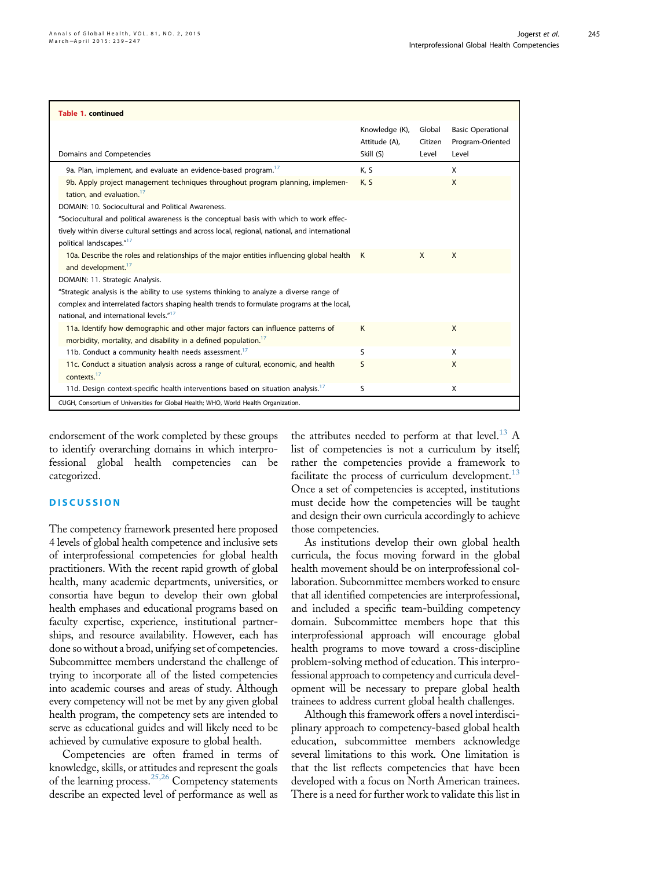| <b>Table 1. continued</b>                                                                                                               |                                              |                            |                                                       |
|-----------------------------------------------------------------------------------------------------------------------------------------|----------------------------------------------|----------------------------|-------------------------------------------------------|
| Domains and Competencies                                                                                                                | Knowledge (K),<br>Attitude (A),<br>Skill (S) | Global<br>Citizen<br>Level | <b>Basic Operational</b><br>Program-Oriented<br>Level |
| 9a. Plan, implement, and evaluate an evidence-based program. <sup>17</sup>                                                              | K, S                                         |                            | X                                                     |
| 9b. Apply project management techniques throughout program planning, implemen-<br>tation, and evaluation. <sup>17</sup>                 | K, S                                         |                            | $\boldsymbol{\mathsf{X}}$                             |
| DOMAIN: 10. Sociocultural and Political Awareness.                                                                                      |                                              |                            |                                                       |
| "Sociocultural and political awareness is the conceptual basis with which to work effec-                                                |                                              |                            |                                                       |
| tively within diverse cultural settings and across local, regional, national, and international<br>political landscapes." <sup>17</sup> |                                              |                            |                                                       |
| 10a. Describe the roles and relationships of the major entities influencing global health<br>and development. <sup>17</sup>             | K                                            | X                          | $\mathsf{x}$                                          |
| DOMAIN: 11. Strategic Analysis.                                                                                                         |                                              |                            |                                                       |
| "Strategic analysis is the ability to use systems thinking to analyze a diverse range of                                                |                                              |                            |                                                       |
| complex and interrelated factors shaping health trends to formulate programs at the local,                                              |                                              |                            |                                                       |
| national, and international levels." <sup>17</sup>                                                                                      |                                              |                            |                                                       |
| 11a. Identify how demographic and other major factors can influence patterns of                                                         | K                                            |                            | X                                                     |
| morbidity, mortality, and disability in a defined population. <sup>17</sup>                                                             |                                              |                            |                                                       |
| 11b. Conduct a community health needs assessment. <sup>17</sup>                                                                         | S                                            |                            | X                                                     |
| 11c. Conduct a situation analysis across a range of cultural, economic, and health<br>contexts. <sup>17</sup>                           | S                                            |                            | $\mathsf{X}$                                          |
| 11d. Design context-specific health interventions based on situation analysis. <sup>17</sup>                                            | S                                            |                            | X                                                     |
| CUGH, Consortium of Universities for Global Health; WHO, World Health Organization.                                                     |                                              |                            |                                                       |

endorsement of the work completed by these groups to identify overarching domains in which interprofessional global health competencies can be categorized.

# **DISCUSSION**

The competency framework presented here proposed 4 levels of global health competence and inclusive sets of interprofessional competencies for global health practitioners. With the recent rapid growth of global health, many academic departments, universities, or consortia have begun to develop their own global health emphases and educational programs based on faculty expertise, experience, institutional partnerships, and resource availability. However, each has done so without a broad, unifying set of competencies. Subcommittee members understand the challenge of trying to incorporate all of the listed competencies into academic courses and areas of study. Although every competency will not be met by any given global health program, the competency sets are intended to serve as educational guides and will likely need to be achieved by cumulative exposure to global health.

Competencies are often framed in terms of knowledge, skills, or attitudes and represent the goals of the learning process.<sup>[25,26](#page-8-0)</sup> Competency statements describe an expected level of performance as well as

the attributes needed to perform at that level.<sup>[13](#page-8-0)</sup> A list of competencies is not a curriculum by itself; rather the competencies provide a framework to facilitate the process of curriculum development. $^{13}$  $^{13}$  $^{13}$ Once a set of competencies is accepted, institutions must decide how the competencies will be taught and design their own curricula accordingly to achieve those competencies.

As institutions develop their own global health curricula, the focus moving forward in the global health movement should be on interprofessional collaboration. Subcommittee members worked to ensure that all identified competencies are interprofessional, and included a specific team-building competency domain. Subcommittee members hope that this interprofessional approach will encourage global health programs to move toward a cross-discipline problem-solving method of education. This interprofessional approach to competency and curricula development will be necessary to prepare global health trainees to address current global health challenges.

Although this framework offers a novel interdisciplinary approach to competency-based global health education, subcommittee members acknowledge several limitations to this work. One limitation is that the list reflects competencies that have been developed with a focus on North American trainees. There is a need for further work to validate this list in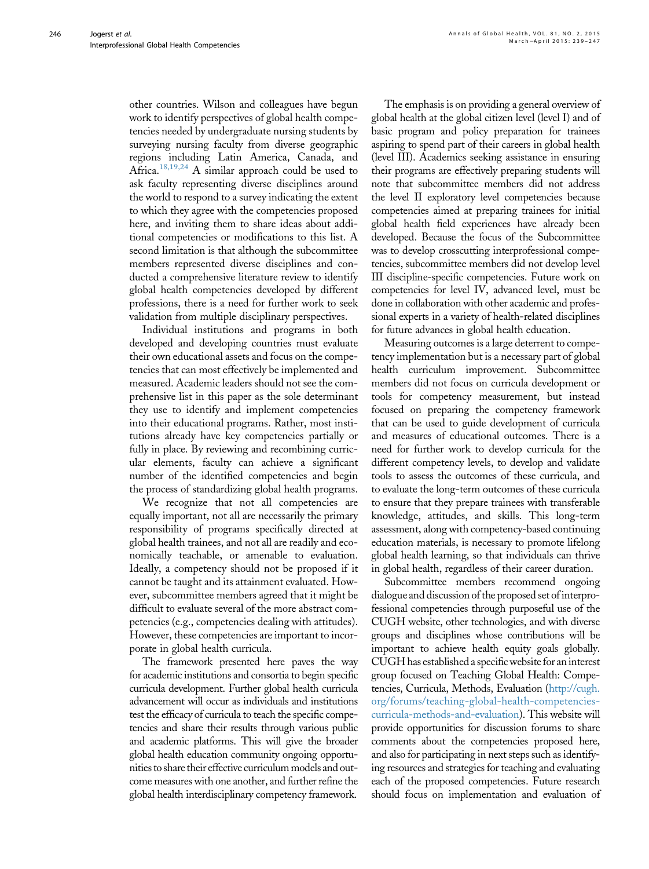other countries. Wilson and colleagues have begun work to identify perspectives of global health competencies needed by undergraduate nursing students by surveying nursing faculty from diverse geographic regions including Latin America, Canada, and Africa.<sup>[18,19,24](#page-8-0)</sup> A similar approach could be used to ask faculty representing diverse disciplines around the world to respond to a survey indicating the extent to which they agree with the competencies proposed here, and inviting them to share ideas about additional competencies or modifications to this list. A second limitation is that although the subcommittee members represented diverse disciplines and conducted a comprehensive literature review to identify global health competencies developed by different professions, there is a need for further work to seek validation from multiple disciplinary perspectives.

Individual institutions and programs in both developed and developing countries must evaluate their own educational assets and focus on the competencies that can most effectively be implemented and measured. Academic leaders should not see the comprehensive list in this paper as the sole determinant they use to identify and implement competencies into their educational programs. Rather, most institutions already have key competencies partially or fully in place. By reviewing and recombining curricular elements, faculty can achieve a significant number of the identified competencies and begin the process of standardizing global health programs.

We recognize that not all competencies are equally important, not all are necessarily the primary responsibility of programs specifically directed at global health trainees, and not all are readily and economically teachable, or amenable to evaluation. Ideally, a competency should not be proposed if it cannot be taught and its attainment evaluated. However, subcommittee members agreed that it might be difficult to evaluate several of the more abstract competencies (e.g., competencies dealing with attitudes). However, these competencies are important to incorporate in global health curricula.

The framework presented here paves the way for academic institutions and consortia to begin specific curricula development. Further global health curricula advancement will occur as individuals and institutions test the efficacy of curricula to teach the specific competencies and share their results through various public and academic platforms. This will give the broader global health education community ongoing opportunities to share their effective curriculum models and outcome measures with one another, and further refine the global health interdisciplinary competency framework.

The emphasis is on providing a general overview of global health at the global citizen level (level I) and of basic program and policy preparation for trainees aspiring to spend part of their careers in global health (level III). Academics seeking assistance in ensuring their programs are effectively preparing students will note that subcommittee members did not address the level II exploratory level competencies because competencies aimed at preparing trainees for initial global health field experiences have already been developed. Because the focus of the Subcommittee was to develop crosscutting interprofessional competencies, subcommittee members did not develop level III discipline-specific competencies. Future work on competencies for level IV, advanced level, must be done in collaboration with other academic and professional experts in a variety of health-related disciplines for future advances in global health education.

Measuring outcomes is a large deterrent to competency implementation but is a necessary part of global health curriculum improvement. Subcommittee members did not focus on curricula development or tools for competency measurement, but instead focused on preparing the competency framework that can be used to guide development of curricula and measures of educational outcomes. There is a need for further work to develop curricula for the different competency levels, to develop and validate tools to assess the outcomes of these curricula, and to evaluate the long-term outcomes of these curricula to ensure that they prepare trainees with transferable knowledge, attitudes, and skills. This long-term assessment, along with competency-based continuing education materials, is necessary to promote lifelong global health learning, so that individuals can thrive in global health, regardless of their career duration.

Subcommittee members recommend ongoing dialogue and discussion of the proposed set of interprofessional competencies through purposeful use of the CUGH website, other technologies, and with diverse groups and disciplines whose contributions will be important to achieve health equity goals globally. CUGH has established a specific website for an interest group focused on Teaching Global Health: Competencies, Curricula, Methods, Evaluation ([http://cugh.](http://cugh.org/forums/teaching-global-health-competencies-curricula-methods-and-evaluation) [org/forums/teaching-global-health-competencies](http://cugh.org/forums/teaching-global-health-competencies-curricula-methods-and-evaluation)[curricula-methods-and-evaluation\)](http://cugh.org/forums/teaching-global-health-competencies-curricula-methods-and-evaluation). This website will provide opportunities for discussion forums to share comments about the competencies proposed here, and also for participating in next steps such as identifying resources and strategies for teaching and evaluating each of the proposed competencies. Future research should focus on implementation and evaluation of